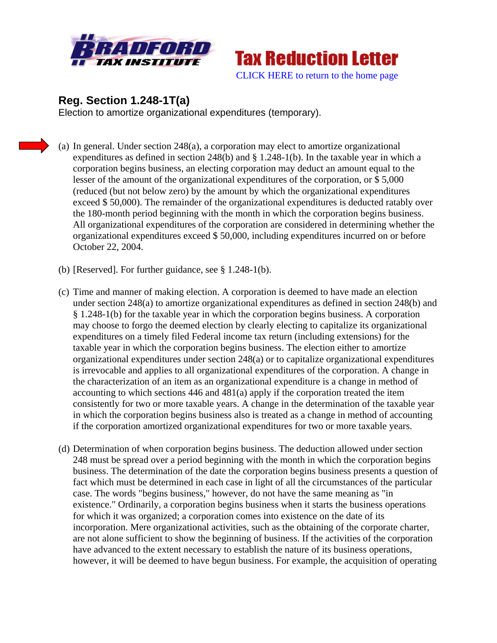



## **Reg. Section 1.248-1T(a)**

Election to amortize organizational expenditures (temporary).

- (a) In general. Under section 248(a), a corporation may elect to amortize organizational expenditures as defined in section 248(b) and § 1.248-1(b). In the taxable year in which a corporation begins business, an electing corporation may deduct an amount equal to the lesser of the amount of the organizational expenditures of the corporation, or \$ 5,000 (reduced (but not below zero) by the amount by which the organizational expenditures exceed \$ 50,000). The remainder of the organizational expenditures is deducted ratably over the 180-month period beginning with the month in which the corporation begins business. All organizational expenditures of the corporation are considered in determining whether the organizational expenditures exceed \$ 50,000, including expenditures incurred on or before October 22, 2004.
- (b) [Reserved]. For further guidance, see § 1.248-1(b).
- (c) Time and manner of making election. A corporation is deemed to have made an election under section 248(a) to amortize organizational expenditures as defined in section 248(b) and § 1.248-1(b) for the taxable year in which the corporation begins business. A corporation may choose to forgo the deemed election by clearly electing to capitalize its organizational expenditures on a timely filed Federal income tax return (including extensions) for the taxable year in which the corporation begins business. The election either to amortize organizational expenditures under section 248(a) or to capitalize organizational expenditures is irrevocable and applies to all organizational expenditures of the corporation. A change in the characterization of an item as an organizational expenditure is a change in method of accounting to which sections 446 and 481(a) apply if the corporation treated the item consistently for two or more taxable years. A change in the determination of the taxable year in which the corporation begins business also is treated as a change in method of accounting if the corporation amortized organizational expenditures for two or more taxable years.
- (d) Determination of when corporation begins business. The deduction allowed under section 248 must be spread over a period beginning with the month in which the corporation begins business. The determination of the date the corporation begins business presents a question of fact which must be determined in each case in light of all the circumstances of the particular case. The words "begins business," however, do not have the same meaning as "in existence." Ordinarily, a corporation begins business when it starts the business operations for which it was organized; a corporation comes into existence on the date of its incorporation. Mere organizational activities, such as the obtaining of the corporate charter, are not alone sufficient to show the beginning of business. If the activities of the corporation have advanced to the extent necessary to establish the nature of its business operations, however, it will be deemed to have begun business. For example, the acquisition of operating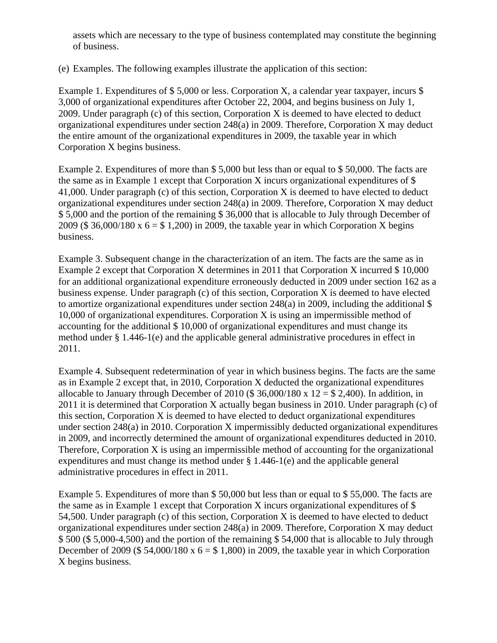assets which are necessary to the type of business contemplated may constitute the beginning of business.

(e) Examples. The following examples illustrate the application of this section:

Example 1. Expenditures of \$5,000 or less. Corporation X, a calendar year taxpayer, incurs \$ 3,000 of organizational expenditures after October 22, 2004, and begins business on July 1, 2009. Under paragraph (c) of this section, Corporation X is deemed to have elected to deduct organizational expenditures under section 248(a) in 2009. Therefore, Corporation X may deduct the entire amount of the organizational expenditures in 2009, the taxable year in which Corporation X begins business.

Example 2. Expenditures of more than \$ 5,000 but less than or equal to \$ 50,000. The facts are the same as in Example 1 except that Corporation X incurs organizational expenditures of \$ 41,000. Under paragraph (c) of this section, Corporation X is deemed to have elected to deduct organizational expenditures under section 248(a) in 2009. Therefore, Corporation X may deduct \$ 5,000 and the portion of the remaining \$ 36,000 that is allocable to July through December of 2009 (\$ 36,000/180 x  $6 = $ 1,200$ ) in 2009, the taxable year in which Corporation X begins business.

Example 3. Subsequent change in the characterization of an item. The facts are the same as in Example 2 except that Corporation X determines in 2011 that Corporation X incurred \$ 10,000 for an additional organizational expenditure erroneously deducted in 2009 under section 162 as a business expense. Under paragraph (c) of this section, Corporation X is deemed to have elected to amortize organizational expenditures under section 248(a) in 2009, including the additional \$ 10,000 of organizational expenditures. Corporation X is using an impermissible method of accounting for the additional \$ 10,000 of organizational expenditures and must change its method under § 1.446-1(e) and the applicable general administrative procedures in effect in 2011.

Example 4. Subsequent redetermination of year in which business begins. The facts are the same as in Example 2 except that, in 2010, Corporation X deducted the organizational expenditures allocable to January through December of 2010 (\$  $36,000/180 \times 12 = $ 2,400$ ). In addition, in 2011 it is determined that Corporation X actually began business in 2010. Under paragraph (c) of this section, Corporation X is deemed to have elected to deduct organizational expenditures under section 248(a) in 2010. Corporation X impermissibly deducted organizational expenditures in 2009, and incorrectly determined the amount of organizational expenditures deducted in 2010. Therefore, Corporation X is using an impermissible method of accounting for the organizational expenditures and must change its method under § 1.446-1(e) and the applicable general administrative procedures in effect in 2011.

Example 5. Expenditures of more than \$ 50,000 but less than or equal to \$ 55,000. The facts are the same as in Example 1 except that Corporation X incurs organizational expenditures of \$ 54,500. Under paragraph (c) of this section, Corporation X is deemed to have elected to deduct organizational expenditures under section 248(a) in 2009. Therefore, Corporation X may deduct \$ 500 (\$ 5,000-4,500) and the portion of the remaining \$ 54,000 that is allocable to July through December of 2009 (\$54,000/180 x  $6 = $1,800$ ) in 2009, the taxable year in which Corporation X begins business.